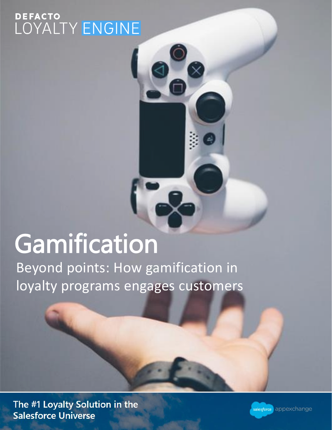# DEFACTO<br>LOYALTY <mark>ENGINE</mark>

## Gamification

Beyond points: How gamification in loyalty programs engages customers

The #1 Loyalty Solution in the **Salesforce Universe** 

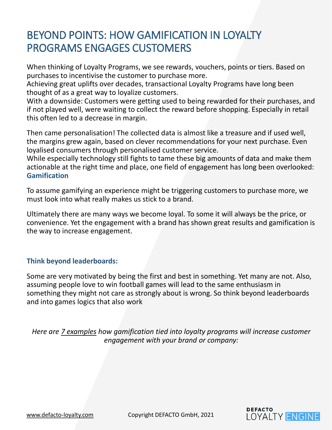#### BEYOND POINTS: HOW GAMIFICATION IN LOYALTY PROGRAMS ENGAGES CUSTOMERS

When thinking of Loyalty Programs, we see rewards, vouchers, points or tiers. Based on purchases to incentivise the customer to purchase more.

Achieving great uplifts over decades, transactional Loyalty Programs have long been thought of as a great way to loyalize customers.

With a downside: Customers were getting used to being rewarded for their purchases, and if not played well, were waiting to collect the reward before shopping. Especially in retail this often led to a decrease in margin.

Then came personalisation! The collected data is almost like a treasure and if used well, the margins grew again, based on clever recommendations for your next purchase. Even loyalised consumers through personalised customer service.

While especially technology still fights to tame these big amounts of data and make them actionable at the right time and place, one field of engagement has long been overlooked: **Gamification**

To assume gamifying an experience might be triggering customers to purchase more, we must look into what really makes us stick to a brand.

Ultimately there are many ways we become loyal. To some it will always be the price, or convenience. Yet the engagement with a brand has shown great results and gamification is the way to increase engagement.

#### **Think beyond leaderboards:**

Some are very motivated by being the first and best in something. Yet many are not. Also, assuming people love to win football games will lead to the same enthusiasm in something they might not care as strongly about is wrong. So think beyond leaderboards and into games logics that also work

*Here are 7 examples how gamification tied into loyalty programs will increase customer engagement with your brand or company:* 

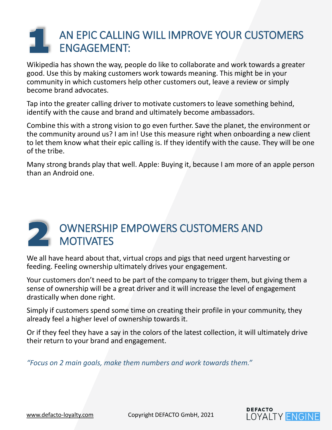### AN EPIC CALLING WILL IMPROVE YOUR CUSTOMERS ENGAGEMENT:

Wikipedia has shown the way, people do like to collaborate and work towards a greater good. Use this by making customers work towards meaning. This might be in your community in which customers help other customers out, leave a review or simply become brand advocates.

Tap into the greater calling driver to motivate customers to leave something behind, identify with the cause and brand and ultimately become ambassadors.

Combine this with a strong vision to go even further. Save the planet, the environment or the community around us? I am in! Use this measure right when onboarding a new client to let them know what their epic calling is. If they identify with the cause. They will be one of the tribe.

Many strong brands play that well. Apple: Buying it, because I am more of an apple person than an Android one.

#### OWNERSHIP EMPOWERS CUSTOMERS AND **MOTIVATES**

We all have heard about that, virtual crops and pigs that need urgent harvesting or feeding. Feeling ownership ultimately drives your engagement.

Your customers don't need to be part of the company to trigger them, but giving them a sense of ownership will be a great driver and it will increase the level of engagement drastically when done right.

Simply if customers spend some time on creating their profile in your community, they already feel a higher level of ownership towards it.

Or if they feel they have a say in the colors of the latest collection, it will ultimately drive their return to your brand and engagement.

*"Focus on 2 main goals, make them numbers and work towards them."*

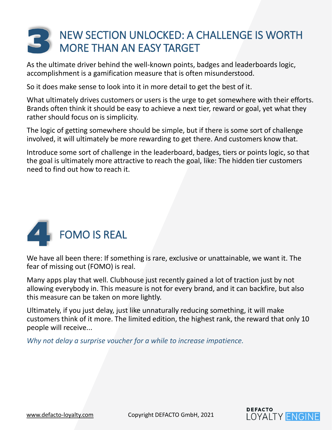#### NEW SECTION UNLOCKED: A CHALLENGE IS WORTH MORE THAN AN EASY TARGET

As the ultimate driver behind the well-known points, badges and leaderboards logic, accomplishment is a gamification measure that is often misunderstood.

So it does make sense to look into it in more detail to get the best of it.

What ultimately drives customers or users is the urge to get somewhere with their efforts. Brands often think it should be easy to achieve a next tier, reward or goal, yet what they rather should focus on is simplicity.

The logic of getting somewhere should be simple, but if there is some sort of challenge involved, it will ultimately be more rewarding to get there. And customers know that.

Introduce some sort of challenge in the leaderboard, badges, tiers or points logic, so that the goal is ultimately more attractive to reach the goal, like: The hidden tier customers need to find out how to reach it.



We have all been there: If something is rare, exclusive or unattainable, we want it. The fear of missing out (FOMO) is real.

Many apps play that well. Clubhouse just recently gained a lot of traction just by not allowing everybody in. This measure is not for every brand, and it can backfire, but also this measure can be taken on more lightly.

Ultimately, if you just delay, just like unnaturally reducing something, it will make customers think of it more. The limited edition, the highest rank, the reward that only 10 people will receive...

*Why not delay a surprise voucher for a while to increase impatience.*



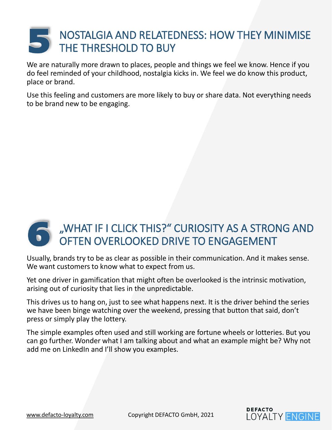#### NOSTALGIA AND RELATEDNESS: HOW THEY MINIMISE THE THRESHOLD TO BUY

We are naturally more drawn to places, people and things we feel we know. Hence if you do feel reminded of your childhood, nostalgia kicks in. We feel we do know this product, place or brand.

Use this feeling and customers are more likely to buy or share data. Not everything needs to be brand new to be engaging.

#### "WHAT IF I CLICK THIS?" CURIOSITY AS A STRONG AND OFTEN OVERLOOKED DRIVE TO ENGAGEMENT

Usually, brands try to be as clear as possible in their communication. And it makes sense. We want customers to know what to expect from us.

Yet one driver in gamification that might often be overlooked is the intrinsic motivation, arising out of curiosity that lies in the unpredictable.

This drives us to hang on, just to see what happens next. It is the driver behind the series we have been binge watching over the weekend, pressing that button that said, don't press or simply play the lottery.

The simple examples often used and still working are fortune wheels or lotteries. But you can go further. Wonder what I am talking about and what an example might be? Why not add me on LinkedIn and I'll show you examples.

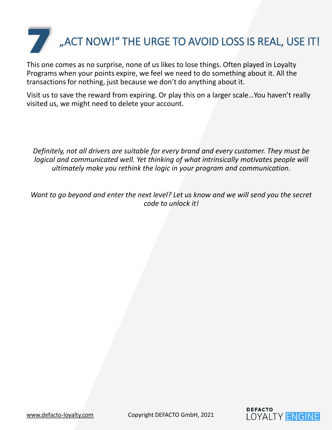

This one comes as no surprise, none of us likes to lose things. Often played in Loyalty Programs when your points expire, we feel we need to do something about it. All the transactions for nothing, just because we don't do anything about it.

Visit us to save the reward from expiring. Or play this on a larger scale…You haven't really visited us, we might need to delete your account.

*Definitely, not all drivers are suitable for every brand and every customer. They must be logical and communicated well. Yet thinking of what intrinsically motivates people will ultimately make you rethink the logic in your program and communication.* 

*Want to go beyond and enter the next level? Let us know and we will send you the secret code to unlock it!*